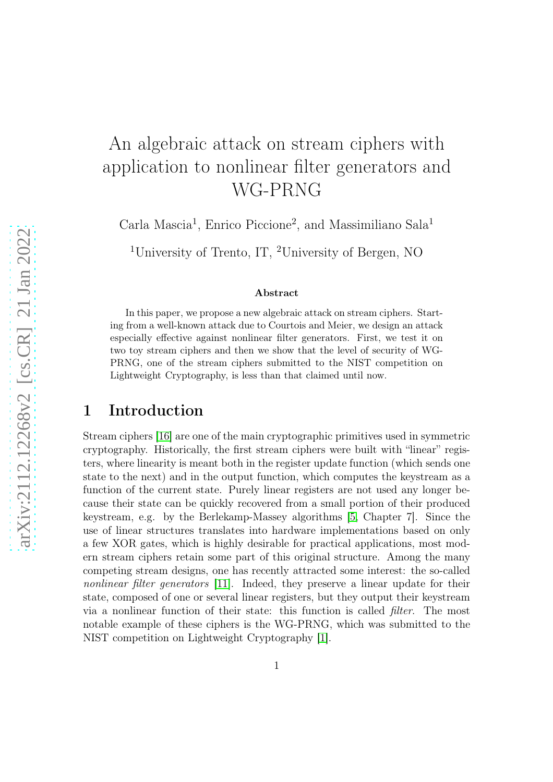# An algebraic attack on stream ciphers with application to nonlinear filter generators and WG-PRNG

Carla Mascia<sup>1</sup>, Enrico Piccione<sup>2</sup>, and Massimiliano Sala<sup>1</sup>

<sup>1</sup>University of Trento, IT, <sup>2</sup>University of Bergen, NO

#### Abstract

In this paper, we propose a new algebraic attack on stream ciphers. Starting from a well-known attack due to Courtois and Meier, we design an attack especially effective against nonlinear filter generators. First, we test it on two toy stream ciphers and then we show that the level of security of WG-PRNG, one of the stream ciphers submitted to the NIST competition on Lightweight Cryptography, is less than that claimed until now.

# 1 Introduction

Stream ciphers [\[16\]](#page-15-0) are one of the main cryptographic primitives used in symmetric cryptography. Historically, the first stream ciphers were built with "linear" registers, where linearity is meant both in the register update function (which sends one state to the next) and in the output function, which computes the keystream as a function of the current state. Purely linear registers are not used any longer because their state can be quickly recovered from a small portion of their produced keystream, e.g. by the Berlekamp-Massey algorithms [\[5,](#page-14-0) Chapter 7]. Since the use of linear structures translates into hardware implementations based on only a few XOR gates, which is highly desirable for practical applications, most modern stream ciphers retain some part of this original structure. Among the many competing stream designs, one has recently attracted some interest: the so-called nonlinear filter generators [\[11\]](#page-15-1). Indeed, they preserve a linear update for their state, composed of one or several linear registers, but they output their keystream via a nonlinear function of their state: this function is called filter. The most notable example of these ciphers is the WG-PRNG, which was submitted to the NIST competition on Lightweight Cryptography [\[1\]](#page-14-1).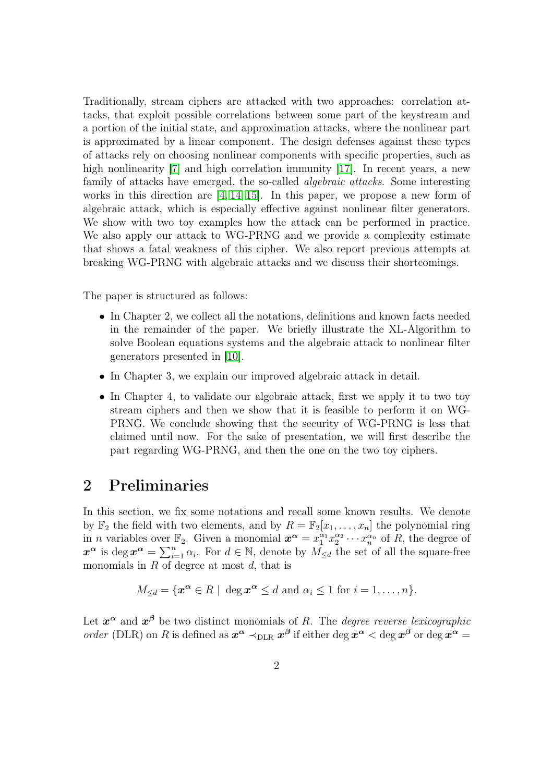Traditionally, stream ciphers are attacked with two approaches: correlation attacks, that exploit possible correlations between some part of the keystream and a portion of the initial state, and approximation attacks, where the nonlinear part is approximated by a linear component. The design defenses against these types of attacks rely on choosing nonlinear components with specific properties, such as high nonlinearity [\[7\]](#page-14-2) and high correlation immunity [\[17\]](#page-15-2). In recent years, a new family of attacks have emerged, the so-called *algebraic attacks*. Some interesting works in this direction are [\[4,](#page-14-3) [14,](#page-15-3) [15\]](#page-15-4). In this paper, we propose a new form of algebraic attack, which is especially effective against nonlinear filter generators. We show with two toy examples how the attack can be performed in practice. We also apply our attack to WG-PRNG and we provide a complexity estimate that shows a fatal weakness of this cipher. We also report previous attempts at breaking WG-PRNG with algebraic attacks and we discuss their shortcomings.

The paper is structured as follows:

- In Chapter 2, we collect all the notations, definitions and known facts needed in the remainder of the paper. We briefly illustrate the XL-Algorithm to solve Boolean equations systems and the algebraic attack to nonlinear filter generators presented in [\[10\]](#page-15-5).
- In Chapter 3, we explain our improved algebraic attack in detail.
- In Chapter 4, to validate our algebraic attack, first we apply it to two toy stream ciphers and then we show that it is feasible to perform it on WG-PRNG. We conclude showing that the security of WG-PRNG is less that claimed until now. For the sake of presentation, we will first describe the part regarding WG-PRNG, and then the one on the two toy ciphers.

# 2 Preliminaries

In this section, we fix some notations and recall some known results. We denote by  $\mathbb{F}_2$  the field with two elements, and by  $R = \mathbb{F}_2[x_1, \ldots, x_n]$  the polynomial ring in *n* variables over  $\mathbb{F}_2$ . Given a monomial  $x^{\alpha} = x_1^{\alpha_1} x_2^{\alpha_2}$  $x_2^{\alpha_2} \cdots x_n^{\alpha_n}$  of R, the degree of  $x^{\alpha}$  is deg  $x^{\alpha} = \sum_{i=1}^{n} \alpha_i$ . For  $d \in \mathbb{N}$ , denote by  $M_{\leq d}$  the set of all the square-free monomials in  $R$  of degree at most  $d$ , that is

$$
M_{\leq d} = \{ \boldsymbol{x}^{\boldsymbol{\alpha}} \in R \mid \deg \boldsymbol{x}^{\boldsymbol{\alpha}} \leq d \text{ and } \alpha_i \leq 1 \text{ for } i = 1, \ldots, n \}.
$$

Let  $x^{\alpha}$  and  $x^{\beta}$  be two distinct monomials of R. The *degree reverse lexicographic* order (DLR) on R is defined as  $x^{\alpha} \prec_{\text{DLR}} x^{\beta}$  if either deg  $x^{\alpha} < \text{deg } x^{\beta}$  or deg  $x^{\alpha} =$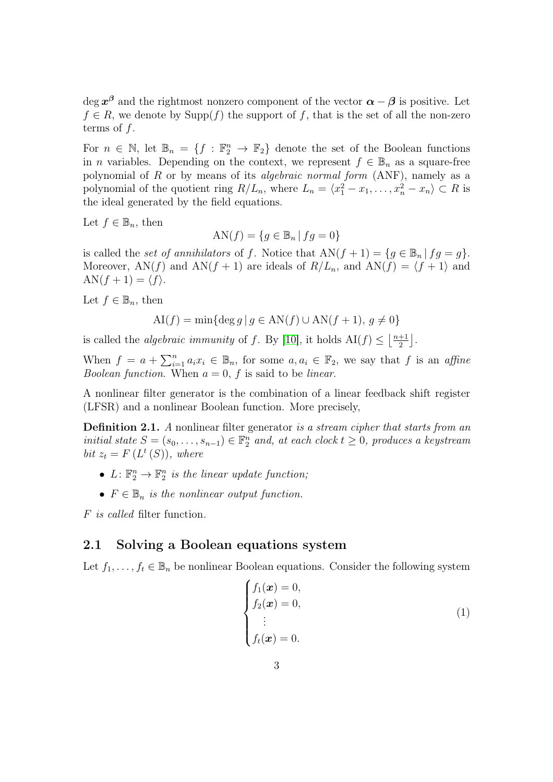$\deg x^{\beta}$  and the rightmost nonzero component of the vector  $\alpha - \beta$  is positive. Let  $f \in R$ , we denote by  $\text{Supp}(f)$  the support of f, that is the set of all the non-zero terms of  $f$ .

For  $n \in \mathbb{N}$ , let  $\mathbb{B}_n = \{f : \mathbb{F}_2^n \to \mathbb{F}_2\}$  denote the set of the Boolean functions in *n* variables. Depending on the context, we represent  $f \in \mathbb{B}_n$  as a square-free polynomial of  $R$  or by means of its *algebraic normal form* (ANF), namely as a polynomial of the quotient ring  $R/L_n$ , where  $L_n = \langle x_1^2 - x_1, \ldots, x_n^2 - x_n \rangle \subset R$  is the ideal generated by the field equations.

Let  $f \in \mathbb{B}_n$ , then

AN(f) =  ${q \in \mathbb{B}_n \mid f q = 0}$ 

is called the set of annihilators of f. Notice that  $AN(f + 1) = \{g \in \mathbb{B}_n | fg = g\}.$ Moreover, AN(f) and AN(f + 1) are ideals of  $R/L_n$ , and AN(f) =  $\langle f + 1 \rangle$  and  $AN(f + 1) = \langle f \rangle.$ 

Let  $f \in \mathbb{B}_n$ , then

$$
AI(f) = min\{\deg g \mid g \in AN(f) \cup AN(f+1), g \neq 0\}
$$

is called the *algebraic immunity* of f. By [\[10\]](#page-15-5), it holds  $AI(f) \leq \left\lfloor \frac{n+1}{2} \right\rfloor$  $\frac{+1}{2}$ .

When  $f = a + \sum_{i=1}^n a_i x_i \in \mathbb{B}_n$ , for some  $a, a_i \in \mathbb{F}_2$ , we say that f is an affine Boolean function. When  $a = 0$ , f is said to be linear.

A nonlinear filter generator is the combination of a linear feedback shift register (LFSR) and a nonlinear Boolean function. More precisely,

**Definition 2.1.** A nonlinear filter generator is a stream cipher that starts from an initial state  $S = (s_0, \ldots, s_{n-1}) \in \mathbb{F}_2^n$  and, at each clock  $t \geq 0$ , produces a keystream bit  $z_t = F(L^t(S))$ , where

- $L: \mathbb{F}_2^n \to \mathbb{F}_2^n$  is the linear update function;
- $F \in \mathbb{B}_n$  is the nonlinear output function.

<span id="page-2-1"></span>F is called filter function.

### 2.1 Solving a Boolean equations system

Let  $f_1, \ldots, f_t \in \mathbb{B}_n$  be nonlinear Boolean equations. Consider the following system

<span id="page-2-0"></span>
$$
\begin{cases}\nf_1(\boldsymbol{x}) = 0, \\
f_2(\boldsymbol{x}) = 0, \\
\vdots \\
f_t(\boldsymbol{x}) = 0.\n\end{cases}
$$
\n(1)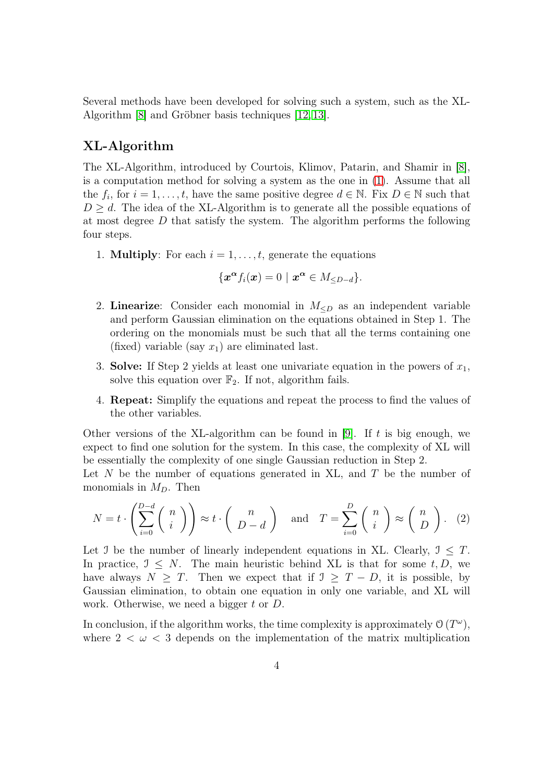Several methods have been developed for solving such a system, such as the XL-Algorithm [\[8\]](#page-14-4) and Gröbner basis techniques [\[12,](#page-15-6) [13\]](#page-15-7).

### XL-Algorithm

The XL-Algorithm, introduced by Courtois, Klimov, Patarin, and Shamir in [\[8\]](#page-14-4), is a computation method for solving a system as the one in [\(1\)](#page-2-0). Assume that all the  $f_i$ , for  $i = 1, \ldots, t$ , have the same positive degree  $d \in \mathbb{N}$ . Fix  $D \in \mathbb{N}$  such that  $D \geq d$ . The idea of the XL-Algorithm is to generate all the possible equations of at most degree  $D$  that satisfy the system. The algorithm performs the following four steps.

1. **Multiply**: For each  $i = 1, \ldots, t$ , generate the equations

$$
\{\boldsymbol{x}^{\boldsymbol{\alpha}}f_i(\boldsymbol{x})=0\mid \boldsymbol{x}^{\boldsymbol{\alpha}}\in M_{\leq D-d}\}.
$$

- 2. Linearize: Consider each monomial in  $M_{\leq D}$  as an independent variable and perform Gaussian elimination on the equations obtained in Step 1. The ordering on the monomials must be such that all the terms containing one (fixed) variable (say  $x_1$ ) are eliminated last.
- 3. Solve: If Step 2 yields at least one univariate equation in the powers of  $x_1$ , solve this equation over  $\mathbb{F}_2$ . If not, algorithm fails.
- 4. Repeat: Simplify the equations and repeat the process to find the values of the other variables.

Other versions of the XL-algorithm can be found in [\[9\]](#page-15-8). If  $t$  is big enough, we expect to find one solution for the system. In this case, the complexity of XL will be essentially the complexity of one single Gaussian reduction in Step 2.

Let  $N$  be the number of equations generated in XL, and  $T$  be the number of monomials in  $M_D$ . Then

$$
N = t \cdot \left(\sum_{i=0}^{D-d} \binom{n}{i}\right) \approx t \cdot \binom{n}{D-d} \quad \text{and} \quad T = \sum_{i=0}^{D} \binom{n}{i} \approx \binom{n}{D}.
$$
 (2)

Let J be the number of linearly independent equations in XL. Clearly,  $\mathcal{I} \leq T$ . In practice,  $\mathcal{I} \leq N$ . The main heuristic behind XL is that for some t, D, we have always  $N > T$ . Then we expect that if  $\mathcal{I} > T - D$ , it is possible, by Gaussian elimination, to obtain one equation in only one variable, and XL will work. Otherwise, we need a bigger t or D.

In conclusion, if the algorithm works, the time complexity is approximately  $\mathcal{O}(T^{\omega})$ , where  $2 < \omega < 3$  depends on the implementation of the matrix multiplication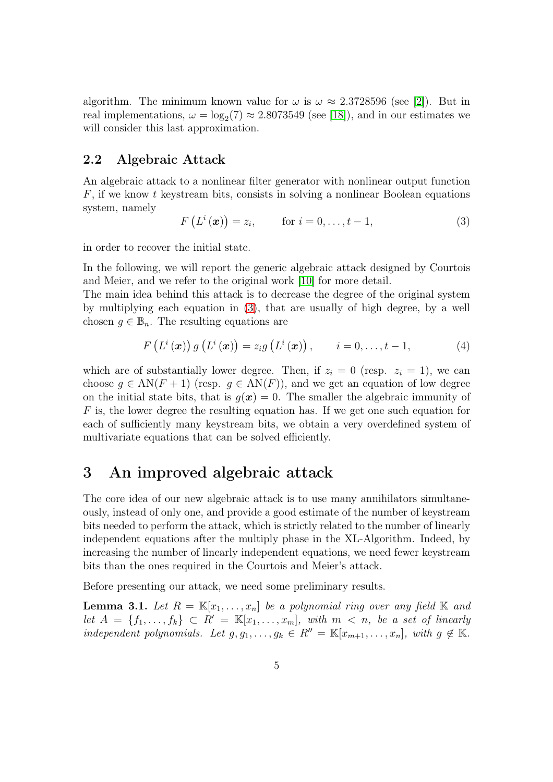algorithm. The minimum known value for  $\omega$  is  $\omega \approx 2.3728596$  (see [\[2\]](#page-14-5)). But in real implementations,  $\omega = \log_2(7) \approx 2.8073549$  (see [\[18\]](#page-15-9)), and in our estimates we will consider this last approximation.

### 2.2 Algebraic Attack

An algebraic attack to a nonlinear filter generator with nonlinear output function  $F$ , if we know t keystream bits, consists in solving a nonlinear Boolean equations system, namely

<span id="page-4-0"></span>
$$
F\left(L^{i}\left(\boldsymbol{x}\right)\right)=z_{i},\qquad\text{for }i=0,\ldots,t-1,\tag{3}
$$

in order to recover the initial state.

In the following, we will report the generic algebraic attack designed by Courtois and Meier, and we refer to the original work [\[10\]](#page-15-5) for more detail.

The main idea behind this attack is to decrease the degree of the original system by multiplying each equation in [\(3\)](#page-4-0), that are usually of high degree, by a well chosen  $g \in \mathbb{B}_n$ . The resulting equations are

$$
F\left(L^{i}\left(\boldsymbol{x}\right)\right)g\left(L^{i}\left(\boldsymbol{x}\right)\right)=z_{i}g\left(L^{i}\left(\boldsymbol{x}\right)\right), \qquad i=0,\ldots,t-1,
$$
\n(4)

which are of substantially lower degree. Then, if  $z_i = 0$  (resp.  $z_i = 1$ ), we can choose  $g \in AN(F + 1)$  (resp.  $g \in AN(F)$ ), and we get an equation of low degree on the initial state bits, that is  $g(x) = 0$ . The smaller the algebraic immunity of F is, the lower degree the resulting equation has. If we get one such equation for each of sufficiently many keystream bits, we obtain a very overdefined system of multivariate equations that can be solved efficiently.

# <span id="page-4-2"></span>3 An improved algebraic attack

The core idea of our new algebraic attack is to use many annihilators simultaneously, instead of only one, and provide a good estimate of the number of keystream bits needed to perform the attack, which is strictly related to the number of linearly independent equations after the multiply phase in the XL-Algorithm. Indeed, by increasing the number of linearly independent equations, we need fewer keystream bits than the ones required in the Courtois and Meier's attack.

Before presenting our attack, we need some preliminary results.

<span id="page-4-1"></span>**Lemma 3.1.** Let  $R = \mathbb{K}[x_1, \ldots, x_n]$  be a polynomial ring over any field  $\mathbb{K}$  and let  $A = \{f_1, \ldots, f_k\} \subset R' = \mathbb{K}[x_1, \ldots, x_m],$  with  $m < n$ , be a set of linearly independent polynomials. Let  $g, g_1, \ldots, g_k \in R'' = \mathbb{K}[x_{m+1}, \ldots, x_n],$  with  $g \notin \mathbb{K}$ .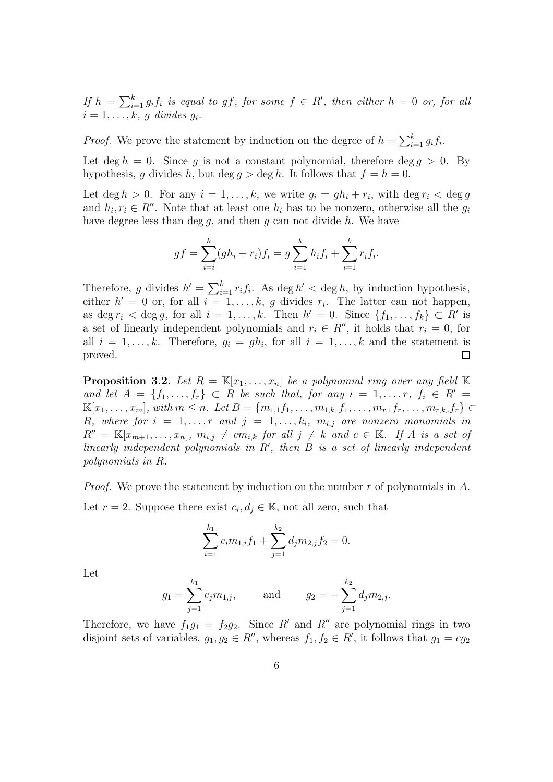If  $h = \sum_{i=1}^{k} g_i f_i$  is equal to gf, for some  $f \in R'$ , then either  $h = 0$  or, for all  $i=1,\ldots,k, g$  divides  $g_i$ .

*Proof.* We prove the statement by induction on the degree of  $h = \sum_{i=1}^{k} g_i f_i$ .

Let deg  $h = 0$ . Since q is not a constant polynomial, therefore deg  $q > 0$ . By hypothesis, g divides h, but deg  $q > \deg h$ . It follows that  $f = h = 0$ .

Let  $\deg h > 0$ . For any  $i = 1, \ldots, k$ , we write  $g_i = gh_i + r_i$ , with  $\deg r_i < \deg g$ and  $h_i, r_i \in R''$ . Note that at least one  $h_i$  has to be nonzero, otherwise all the  $g_i$ have degree less than deg q, and then q can not divide  $h$ . We have

$$
gf = \sum_{i=i}^{k} (gh_i + r_i)f_i = g \sum_{i=1}^{k} h_i f_i + \sum_{i=1}^{k} r_i f_i.
$$

Therefore, g divides  $h' = \sum_{i=1}^{k} r_i f_i$ . As deg  $h' <$  deg h, by induction hypothesis, either  $h' = 0$  or, for all  $i = 1, ..., k$ , g divides  $r_i$ . The latter can not happen, as deg  $r_i < \deg g$ , for all  $i = 1, \ldots, k$ . Then  $h' = 0$ . Since  $\{f_1, \ldots, f_k\} \subset R'$  is a set of linearly independent polynomials and  $r_i \in R''$ , it holds that  $r_i = 0$ , for all  $i = 1, ..., k$ . Therefore,  $g_i = gh_i$ , for all  $i = 1, ..., k$  and the statement is proved.  $\Box$ 

<span id="page-5-0"></span>**Proposition 3.2.** Let  $R = \mathbb{K}[x_1, \ldots, x_n]$  be a polynomial ring over any field  $\mathbb{K}$ and let  $A = \{f_1, \ldots, f_r\} \subset R$  be such that, for any  $i = 1, \ldots, r, f_i \in R'$  $\mathbb{K}[x_1, \ldots, x_m]$ , with  $m \leq n$ . Let  $B = \{m_{1,1}f_1, \ldots, m_{1,k_1}f_1, \ldots, m_{r,1}f_r, \ldots, m_{r,k_r}f_r\}$  ⊂ R, where for  $i = 1, \ldots, r$  and  $j = 1, \ldots, k_i$ ,  $m_{i,j}$  are nonzero monomials in  $R'' = \mathbb{K}[x_{m+1},...,x_n], m_{i,j} \neq cm_{i,k}$  for all  $j \neq k$  and  $c \in \mathbb{K}$ . If A is a set of linearly independent polynomials in R′ , then B is a set of linearly independent polynomials in R.

*Proof.* We prove the statement by induction on the number r of polynomials in  $A$ . Let  $r = 2$ . Suppose there exist  $c_i, d_j \in \mathbb{K}$ , not all zero, such that

$$
\sum_{i=1}^{k_1} c_i m_{1,i} f_1 + \sum_{j=1}^{k_2} d_j m_{2,j} f_2 = 0.
$$

Let

$$
g_1 = \sum_{j=1}^{k_1} c_j m_{1,j}
$$
, and  $g_2 = -\sum_{j=1}^{k_2} d_j m_{2,j}$ .

Therefore, we have  $f_1g_1 = f_2g_2$ . Since R' and R'' are polynomial rings in two disjoint sets of variables,  $g_1, g_2 \in \mathbb{R}^{\prime\prime}$ , whereas  $f_1, f_2 \in \mathbb{R}^{\prime}$ , it follows that  $g_1 = cg_2$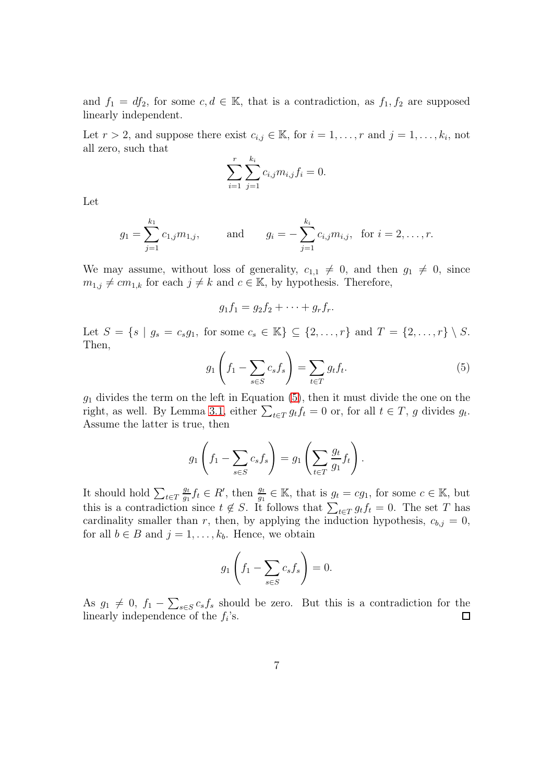and  $f_1 = df_2$ , for some  $c, d \in \mathbb{K}$ , that is a contradiction, as  $f_1, f_2$  are supposed linearly independent.

Let  $r > 2$ , and suppose there exist  $c_{i,j} \in \mathbb{K}$ , for  $i = 1, \ldots, r$  and  $j = 1, \ldots, k_i$ , not all zero, such that

$$
\sum_{i=1}^{r} \sum_{j=1}^{k_i} c_{i,j} m_{i,j} f_i = 0.
$$

Let

$$
g_1 = \sum_{j=1}^{k_1} c_{1,j} m_{1,j}
$$
, and  $g_i = -\sum_{j=1}^{k_i} c_{i,j} m_{i,j}$ , for  $i = 2, ..., r$ .

We may assume, without loss of generality,  $c_{1,1} \neq 0$ , and then  $g_1 \neq 0$ , since  $m_{1,j} \neq cm_{1,k}$  for each  $j \neq k$  and  $c \in \mathbb{K}$ , by hypothesis. Therefore,

$$
g_1f_1=g_2f_2+\cdots+g_rf_r.
$$

Let  $S = \{s \mid g_s = c_s g_1, \text{ for some } c_s \in \mathbb{K}\}\subseteq \{2,\ldots,r\}$  and  $T = \{2,\ldots,r\}\setminus S$ . Then,

<span id="page-6-0"></span>
$$
g_1\left(f_1 - \sum_{s \in S} c_s f_s\right) = \sum_{t \in T} g_t f_t. \tag{5}
$$

 $g_1$  divides the term on the left in Equation [\(5\)](#page-6-0), then it must divide the one on the right, as well. By Lemma [3.1,](#page-4-1) either  $\sum_{t \in T} g_t f_t = 0$  or, for all  $t \in T$ , g divides  $g_t$ . Assume the latter is true, then

$$
g_1\left(f_1 - \sum_{s \in S} c_s f_s\right) = g_1\left(\sum_{t \in T} \frac{g_t}{g_1} f_t\right).
$$

It should hold  $\sum_{t \in T}$  $g_t$  $\frac{g_t}{g_1} f_t \in R'$ , then  $\frac{g_t}{g_1} \in \mathbb{K}$ , that is  $g_t = cg_1$ , for some  $c \in \mathbb{K}$ , but this is a contradiction since  $t \notin S$ . It follows that  $\sum_{t \in T} g_t f_t = 0$ . The set T has cardinality smaller than r, then, by applying the induction hypothesis,  $c_{b,j} = 0$ , for all  $b \in B$  and  $j = 1, \ldots, k_b$ . Hence, we obtain

$$
g_1\left(f_1 - \sum_{s \in S} c_s f_s\right) = 0.
$$

As  $g_1 \neq 0$ ,  $f_1 - \sum_{s \in S} c_s f_s$  should be zero. But this is a contradiction for the linearly independence of the  $f_i$ 's.  $\Box$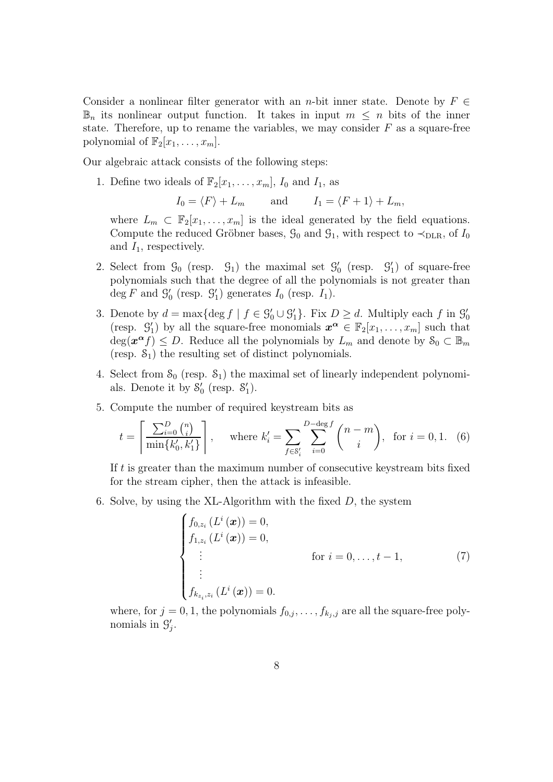Consider a nonlinear filter generator with an n-bit inner state. Denote by  $F \in$  $\mathbb{B}_n$  its nonlinear output function. It takes in input  $m \leq n$  bits of the inner state. Therefore, up to rename the variables, we may consider  $F$  as a square-free polynomial of  $\mathbb{F}_2[x_1, \ldots, x_m].$ 

Our algebraic attack consists of the following steps:

1. Define two ideals of  $\mathbb{F}_2[x_1, \ldots, x_m]$ ,  $I_0$  and  $I_1$ , as

 $I_0 = \langle F \rangle + L_m$  and  $I_1 = \langle F + 1 \rangle + L_m$ ,

where  $L_m \subset \mathbb{F}_2[x_1,\ldots,x_m]$  is the ideal generated by the field equations. Compute the reduced Gröbner bases,  $\mathcal{G}_0$  and  $\mathcal{G}_1$ , with respect to  $\prec_{\text{DLR}}$ , of  $I_0$ and  $I_1$ , respectively.

- 2. Select from  $\mathcal{G}_0$  (resp.  $\mathcal{G}_1$ ) the maximal set  $\mathcal{G}'_0$  (resp.  $\mathcal{G}'_1$ ) of square-free polynomials such that the degree of all the polynomials is not greater than deg F and  $\mathcal{G}'_0$  (resp.  $\mathcal{G}'_1$ ) generates  $I_0$  (resp.  $I_1$ ).
- 3. Denote by  $d = \max\{\deg f \mid f \in \mathcal{G}'_0 \cup \mathcal{G}'_1\}$ . Fix  $D \geq d$ . Multiply each f in  $\mathcal{G}'_0$ (resp.  $\mathcal{G}'_1$ ) by all the square-free monomials  $\mathbf{x}^{\alpha} \in \mathbb{F}_2[x_1,\ldots,x_m]$  such that  $deg(\boldsymbol{x}^{\boldsymbol{\alpha}} f) \leq D$ . Reduce all the polynomials by  $L_m$  and denote by  $\mathcal{S}_0 \subset \mathbb{B}_m$ (resp.  $S_1$ ) the resulting set of distinct polynomials.
- 4. Select from  $S_0$  (resp.  $S_1$ ) the maximal set of linearly independent polynomials. Denote it by  $S'_0$  (resp.  $S'_1$ ).
- 5. Compute the number of required keystream bits as

<span id="page-7-1"></span>
$$
t = \left\lceil \frac{\sum_{i=0}^{D} \binom{n}{i}}{\min\{k'_0, k'_1\}} \right\rceil, \quad \text{where } k'_i = \sum_{f \in \mathcal{S}'_i} \sum_{i=0}^{D-\deg f} \binom{n-m}{i}, \text{ for } i = 0, 1. \tag{6}
$$

If t is greater than the maximum number of consecutive keystream bits fixed for the stream cipher, then the attack is infeasible.

6. Solve, by using the XL-Algorithm with the fixed  $D$ , the system

<span id="page-7-0"></span>
$$
\begin{cases}\nf_{0,z_i}(L^i(\boldsymbol{x})) = 0, \\
f_{1,z_i}(L^i(\boldsymbol{x})) = 0, \\
\vdots \\
f_{k_{z_i},z_i}(L^i(\boldsymbol{x})) = 0.\n\end{cases} \quad \text{for } i = 0,\ldots, t-1,
$$
\n(7)\n  
\n
$$
\vdots
$$
\n
$$
f_{k_{z_i},z_i}(L^i(\boldsymbol{x})) = 0.
$$

where, for  $j = 0, 1$ , the polynomials  $f_{0,j}, \ldots, f_{k_j,j}$  are all the square-free polynomials in  $\mathcal{G}'_j$ .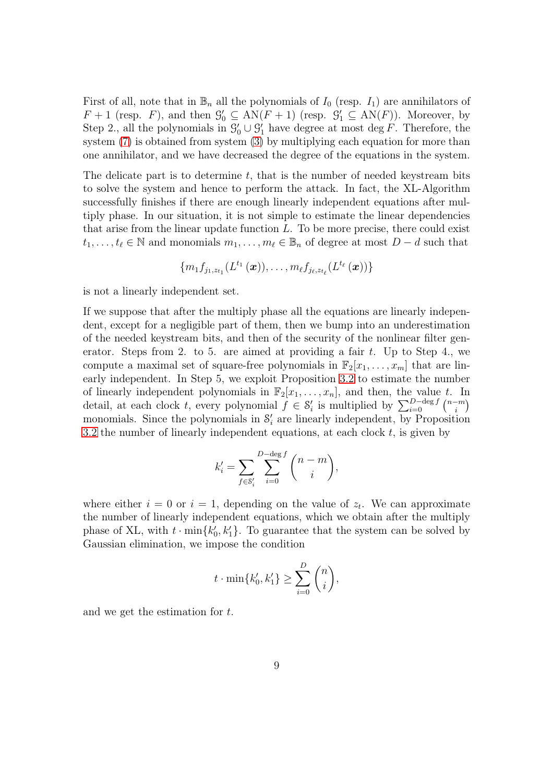First of all, note that in  $\mathbb{B}_n$  all the polynomials of  $I_0$  (resp.  $I_1$ ) are annihilators of  $F + 1$  (resp. F), and then  $\mathcal{G}'_0 \subseteq AN(F + 1)$  (resp.  $\mathcal{G}'_1 \subseteq AN(F)$ ). Moreover, by Step 2., all the polynomials in  $\mathcal{G}'_0 \cup \mathcal{G}'_1$  have degree at most deg F. Therefore, the system [\(7\)](#page-7-0) is obtained from system [\(3\)](#page-4-0) by multiplying each equation for more than one annihilator, and we have decreased the degree of the equations in the system.

The delicate part is to determine  $t$ , that is the number of needed keystream bits to solve the system and hence to perform the attack. In fact, the XL-Algorithm successfully finishes if there are enough linearly independent equations after multiply phase. In our situation, it is not simple to estimate the linear dependencies that arise from the linear update function  $L$ . To be more precise, there could exist  $t_1, \ldots, t_\ell \in \mathbb{N}$  and monomials  $m_1, \ldots, m_\ell \in \mathbb{B}_n$  of degree at most  $D - d$  such that

$$
\{m_1f_{j_1,z_{t_1}}(L^{t_1}\left(\boldsymbol{x}\right)),\ldots,m_\ell f_{j_\ell,z_{t_\ell}}(L^{t_\ell}\left(\boldsymbol{x}\right))\}
$$

is not a linearly independent set.

If we suppose that after the multiply phase all the equations are linearly independent, except for a negligible part of them, then we bump into an underestimation of the needed keystream bits, and then of the security of the nonlinear filter generator. Steps from 2. to 5. are aimed at providing a fair  $t$ . Up to Step 4., we compute a maximal set of square-free polynomials in  $\mathbb{F}_2[x_1, \ldots, x_m]$  that are linearly independent. In Step 5, we exploit Proposition [3.2](#page-5-0) to estimate the number of linearly independent polynomials in  $\mathbb{F}_2[x_1, \ldots, x_n]$ , and then, the value t. In detail, at each clock t, every polynomial  $f \in \mathcal{S}'_i$  is multiplied by  $\sum_{i=0}^{D-\deg f} \binom{n-m}{i}$  $\binom{-m}{i}$ monomials. Since the polynomials in  $S_i$  are linearly independent, by Proposition [3.2](#page-5-0) the number of linearly independent equations, at each clock  $t$ , is given by

$$
k'_{i} = \sum_{f \in \mathcal{S}'_{i}} \sum_{i=0}^{D-\deg f} \binom{n-m}{i},
$$

where either  $i = 0$  or  $i = 1$ , depending on the value of  $z_t$ . We can approximate the number of linearly independent equations, which we obtain after the multiply phase of XL, with  $t \cdot \min\{k'_0, k'_1\}$ . To guarantee that the system can be solved by Gaussian elimination, we impose the condition

$$
t \cdot \min\{k'_0, k'_1\} \ge \sum_{i=0}^D \binom{n}{i},
$$

and we get the estimation for t.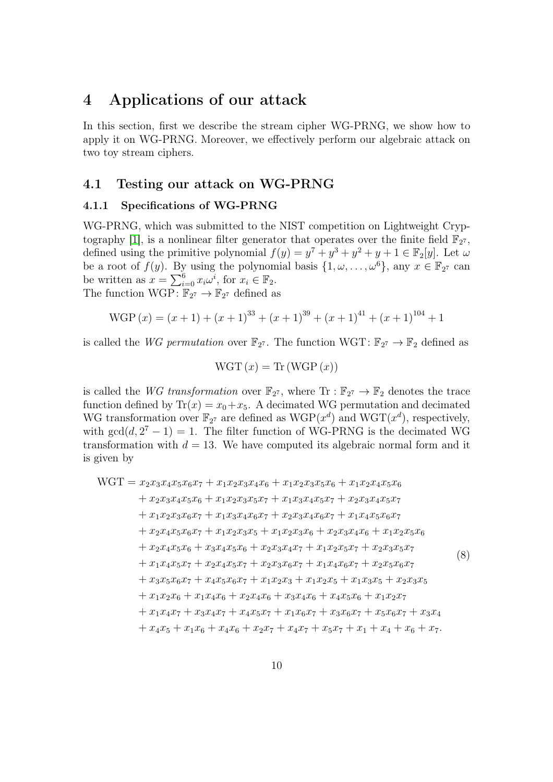# 4 Applications of our attack

In this section, first we describe the stream cipher WG-PRNG, we show how to apply it on WG-PRNG. Moreover, we effectively perform our algebraic attack on two toy stream ciphers.

### 4.1 Testing our attack on WG-PRNG

#### 4.1.1 Specifications of WG-PRNG

WG-PRNG, which was submitted to the NIST competition on Lightweight Cryp-tography [\[1\]](#page-14-1), is a nonlinear filter generator that operates over the finite field  $\mathbb{F}_{2^7}$ , defined using the primitive polynomial  $f(y) = y^7 + y^3 + y^2 + y + 1 \in \mathbb{F}_2[y]$ . Let  $\omega$ be a root of  $f(y)$ . By using the polynomial basis  $\{1, \omega, ..., \omega^6\}$ , any  $x \in \mathbb{F}_{2^7}$  can be written as  $x = \sum_{i=0}^{6} x_i \omega^i$ , for  $x_i \in \mathbb{F}_2$ . The function  $WGP: \mathbb{F}_{2^7} \to \mathbb{F}_{2^7}$  defined as

WGP 
$$
(x) = (x + 1) + (x + 1)^{33} + (x + 1)^{39} + (x + 1)^{41} + (x + 1)^{104} + 1
$$

is called the WG permutation over  $\mathbb{F}_{2^7}$ . The function WGT:  $\mathbb{F}_{2^7} \to \mathbb{F}_2$  defined as

<span id="page-9-0"></span>
$$
WGT(x) = Tr(WGP(x))
$$

is called the WG transformation over  $\mathbb{F}_{2^7}$ , where  $\text{Tr} : \mathbb{F}_{2^7} \to \mathbb{F}_2$  denotes the trace function defined by  $\text{Tr}(x) = x_0 + x_5$ . A decimated WG permutation and decimated WG transformation over  $\mathbb{F}_{2^7}$  are defined as  $WGP(x^d)$  and  $WGT(x^d)$ , respectively, with  $gcd(d, 2^7 - 1) = 1$ . The filter function of WG-PRNG is the decimated WG transformation with  $d = 13$ . We have computed its algebraic normal form and it is given by

$$
WGT = x_2x_3x_4x_5x_6x_7 + x_1x_2x_3x_4x_6 + x_1x_2x_3x_5x_6 + x_1x_2x_4x_5x_6
$$
  
+  $x_2x_3x_4x_5x_6 + x_1x_2x_3x_5x_7 + x_1x_3x_4x_5x_7 + x_2x_3x_4x_5x_7$   
+  $x_1x_2x_3x_6x_7 + x_1x_3x_4x_6x_7 + x_2x_3x_4x_6x_7 + x_1x_4x_5x_6x_7$   
+  $x_2x_4x_5x_6x_7 + x_1x_2x_3x_5 + x_1x_2x_3x_6 + x_2x_3x_4x_6 + x_1x_2x_5x_6$   
+  $x_2x_4x_5x_6 + x_3x_4x_5x_6 + x_2x_3x_4x_7 + x_1x_2x_5x_7 + x_2x_3x_5x_7$   
+  $x_1x_4x_5x_7 + x_2x_4x_5x_7 + x_2x_3x_6x_7 + x_1x_4x_6x_7 + x_2x_5x_6x_7$   
+  $x_3x_5x_6x_7 + x_4x_5x_6x_7 + x_1x_2x_3 + x_1x_2x_5 + x_1x_3x_5 + x_2x_3x_5$   
+  $x_1x_2x_6 + x_1x_4x_6 + x_2x_4x_6 + x_3x_4x_6 + x_4x_5x_6 + x_1x_2x_7$   
+  $x_1x_4x_7 + x_3x_4x_7 + x_4x_5x_7 + x_1x_6x_7 + x_3x_6x_7 + x_5x_6x_7 + x_3x_4$   
+  $x_4x_5 + x_1x_6 + x_4x_6 + x_2x_7 + x_4x_7 + x_5x_7 + x_1 + x_4 + x_6 + x_7$ .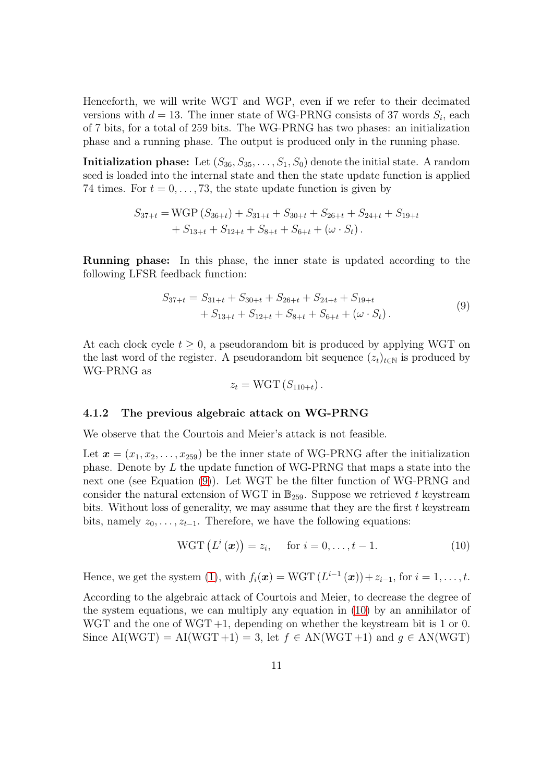Henceforth, we will write WGT and WGP, even if we refer to their decimated versions with  $d = 13$ . The inner state of WG-PRNG consists of 37 words  $S_i$ , each of 7 bits, for a total of 259 bits. The WG-PRNG has two phases: an initialization phase and a running phase. The output is produced only in the running phase.

**Initialization phase:** Let  $(S_{36}, S_{35}, \ldots, S_1, S_0)$  denote the initial state. A random seed is loaded into the internal state and then the state update function is applied 74 times. For  $t = 0, \ldots, 73$ , the state update function is given by

$$
S_{37+t} = WGP(S_{36+t}) + S_{31+t} + S_{30+t} + S_{26+t} + S_{24+t} + S_{19+t}
$$
  
+ S\_{13+t} + S\_{12+t} + S\_{8+t} + S\_{6+t} + (\omega \cdot S\_t).

Running phase: In this phase, the inner state is updated according to the following LFSR feedback function:

$$
S_{37+t} = S_{31+t} + S_{30+t} + S_{26+t} + S_{24+t} + S_{19+t}
$$
  
+ S\_{13+t} + S\_{12+t} + S\_{8+t} + S\_{6+t} + (\omega \cdot S\_t). (9)

At each clock cycle  $t \geq 0$ , a pseudorandom bit is produced by applying WGT on the last word of the register. A pseudorandom bit sequence  $(z_t)_{t\in\mathbb{N}}$  is produced by WG-PRNG as

<span id="page-10-0"></span>
$$
z_t = \text{WGT}(S_{110+t}).
$$

#### 4.1.2 The previous algebraic attack on WG-PRNG

We observe that the Courtois and Meier's attack is not feasible.

Let  $\mathbf{x} = (x_1, x_2, \ldots, x_{259})$  be the inner state of WG-PRNG after the initialization phase. Denote by L the update function of WG-PRNG that maps a state into the next one (see Equation [\(9\)](#page-10-0)). Let WGT be the filter function of WG-PRNG and consider the natural extension of WGT in  $\mathbb{B}_{259}$ . Suppose we retrieved t keystream bits. Without loss of generality, we may assume that they are the first  $t$  keystream bits, namely  $z_0, \ldots, z_{t-1}$ . Therefore, we have the following equations:

<span id="page-10-1"></span>
$$
WGT\left(L^i\left(\boldsymbol{x}\right)\right) = z_i, \quad \text{for } i = 0, \ldots, t - 1. \tag{10}
$$

Hence, we get the system [\(1\)](#page-2-0), with  $f_i(\boldsymbol{x}) = \text{WGT}(L^{i-1}(\boldsymbol{x})) + z_{i-1}$ , for  $i = 1, \ldots, t$ .

According to the algebraic attack of Courtois and Meier, to decrease the degree of the system equations, we can multiply any equation in [\(10\)](#page-10-1) by an annihilator of WGT and the one of WGT +1, depending on whether the keystream bit is 1 or 0. Since AI(WGT) = AI(WGT+1) = 3, let  $f \in AN(WGT+1)$  and  $q \in AN(WGT)$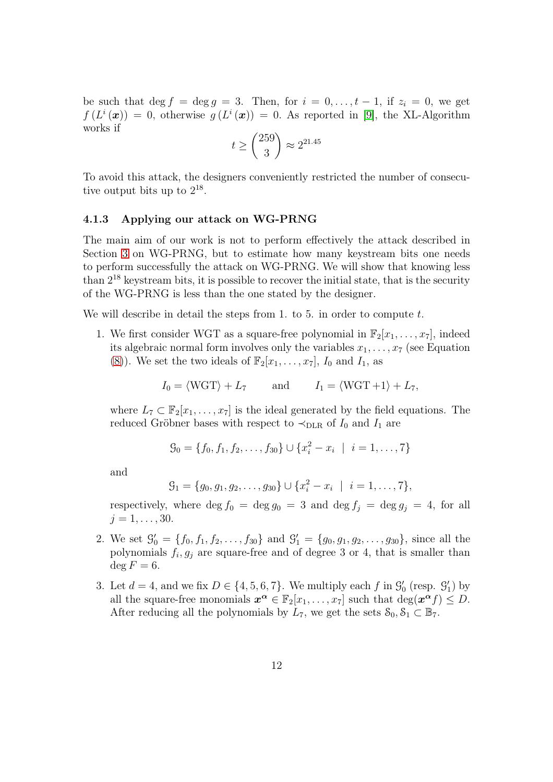be such that deg  $f = \deg g = 3$ . Then, for  $i = 0, \ldots, t-1$ , if  $z_i = 0$ , we get  $f(L^i(\boldsymbol{x})) = 0$ , otherwise  $g(L^i(\boldsymbol{x})) = 0$ . As reported in [\[9\]](#page-15-8), the XL-Algorithm works if

$$
t \ge \binom{259}{3} \approx 2^{21.45}
$$

To avoid this attack, the designers conveniently restricted the number of consecutive output bits up to  $2^{18}$ .

#### 4.1.3 Applying our attack on WG-PRNG

The main aim of our work is not to perform effectively the attack described in Section [3](#page-4-2) on WG-PRNG, but to estimate how many keystream bits one needs to perform successfully the attack on WG-PRNG. We will show that knowing less than 2 <sup>18</sup> keystream bits, it is possible to recover the initial state, that is the security of the WG-PRNG is less than the one stated by the designer.

We will describe in detail the steps from 1. to 5. in order to compute t.

1. We first consider WGT as a square-free polynomial in  $\mathbb{F}_2[x_1, \ldots, x_7]$ , indeed its algebraic normal form involves only the variables  $x_1, \ldots, x_7$  (see Equation [\(8\)](#page-9-0)). We set the two ideals of  $\mathbb{F}_2[x_1, \ldots, x_7]$ ,  $I_0$  and  $I_1$ , as

$$
I_0 = \langle WGT \rangle + L_7
$$
 and  $I_1 = \langle WGT + 1 \rangle + L_7$ ,

where  $L_7 \subset \mathbb{F}_2[x_1,\ldots,x_7]$  is the ideal generated by the field equations. The reduced Gröbner bases with respect to  $\prec_{\text{DLR}}$  of  $I_0$  and  $I_1$  are

$$
\mathcal{G}_0 = \{f_0, f_1, f_2, \dots, f_{30}\} \cup \{x_i^2 - x_i \mid i = 1, \dots, 7\}
$$

and

$$
\mathcal{G}_1 = \{g_0, g_1, g_2, \dots, g_{30}\} \cup \{x_i^2 - x_i \mid i = 1, \dots, 7\},\
$$

respectively, where deg  $f_0 = \deg g_0 = 3$  and  $\deg f_j = \deg g_j = 4$ , for all  $j = 1, \ldots, 30.$ 

- 2. We set  $\mathcal{G}'_0 = \{f_0, f_1, f_2, \ldots, f_{30}\}\$ and  $\mathcal{G}'_1 = \{g_0, g_1, g_2, \ldots, g_{30}\}\$ , since all the polynomials  $f_i, g_j$  are square-free and of degree 3 or 4, that is smaller than  $\deg F = 6.$
- 3. Let  $d = 4$ , and we fix  $D \in \{4, 5, 6, 7\}$ . We multiply each f in  $\mathcal{G}'_0$  (resp.  $\mathcal{G}'_1$ ) by all the square-free monomials  $x^{\alpha} \in \mathbb{F}_2[x_1,\ldots,x_7]$  such that  $\deg(x^{\alpha} f) \leq D$ . After reducing all the polynomials by  $L_7$ , we get the sets  $S_0, S_1 \subset \mathbb{B}_7$ .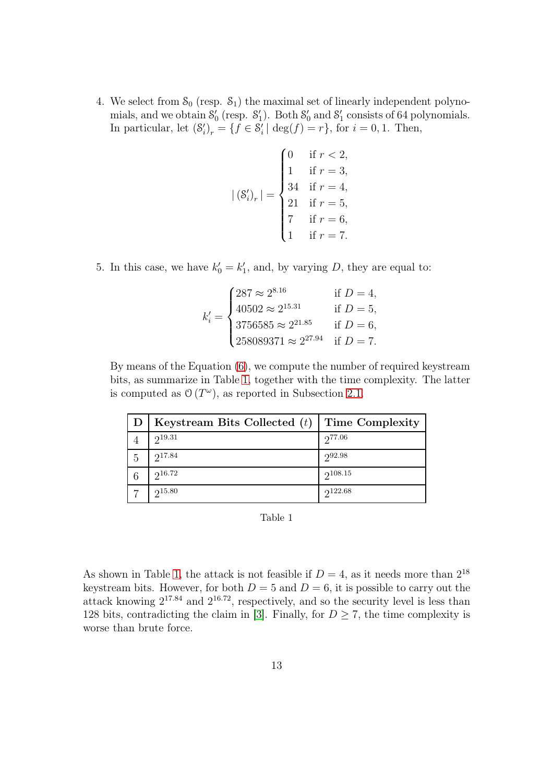4. We select from  $S_0$  (resp.  $S_1$ ) the maximal set of linearly independent polynomials, and we obtain  $\mathcal{S}'_0$  (resp.  $\mathcal{S}'_1$ ). Both  $\mathcal{S}'_0$  and  $\mathcal{S}'_1$  consists of 64 polynomials. In particular, let  $(\mathcal{S}'_i)_r = \{f \in \mathcal{S}'_i \mid \deg(f) = r\}$ , for  $i = 0, 1$ . Then,

$$
|\left(\mathcal{S}_{i}'\right)_{r}| = \begin{cases} 0 & \text{if } r < 2, \\ 1 & \text{if } r = 3, \\ 34 & \text{if } r = 4, \\ 21 & \text{if } r = 5, \\ 7 & \text{if } r = 6, \\ 1 & \text{if } r = 7. \end{cases}
$$

5. In this case, we have  $k'_0 = k'_1$ , and, by varying D, they are equal to:

$$
k'_{i} = \begin{cases} 287 \approx 2^{8.16} & \text{if } D = 4, \\ 40502 \approx 2^{15.31} & \text{if } D = 5, \\ 3756585 \approx 2^{21.85} & \text{if } D = 6, \\ 258089371 \approx 2^{27.94} & \text{if } D = 7. \end{cases}
$$

<span id="page-12-0"></span>By means of the Equation [\(6\)](#page-7-1), we compute the number of required keystream bits, as summarize in Table [1,](#page-12-0) together with the time complexity. The latter is computed as  $\mathcal{O}(T^{\omega})$ , as reported in Subsection [2.1.](#page-2-1)

|    | Keystream Bits Collected $(t)$ Time Complexity |              |
|----|------------------------------------------------|--------------|
|    | 219.31                                         | 277.06       |
| -5 | 217.84                                         | $2^{92.98}$  |
| 6  | $2^{16.72}$                                    | $2^{108.15}$ |
|    | $2^{15.80}$                                    | $2^{122.68}$ |

Table 1

As shown in Table [1,](#page-12-0) the attack is not feasible if  $D = 4$ , as it needs more than  $2^{18}$ keystream bits. However, for both  $D = 5$  and  $D = 6$ , it is possible to carry out the attack knowing  $2^{17.84}$  and  $2^{16.72}$ , respectively, and so the security level is less than 128 bits, contradicting the claim in [\[3\]](#page-14-6). Finally, for  $D \geq 7$ , the time complexity is worse than brute force.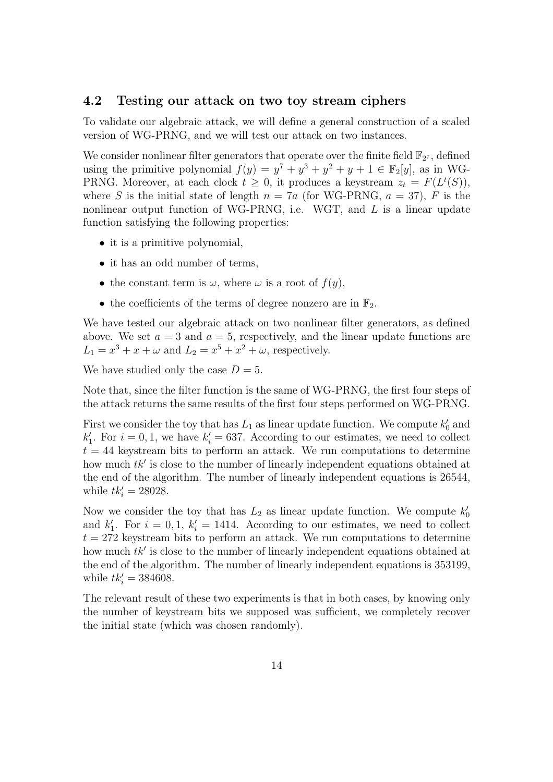#### 4.2 Testing our attack on two toy stream ciphers

To validate our algebraic attack, we will define a general construction of a scaled version of WG-PRNG, and we will test our attack on two instances.

We consider nonlinear filter generators that operate over the finite field  $\mathbb{F}_{2^7}$ , defined using the primitive polynomial  $f(y) = y^7 + y^3 + y^2 + y + 1 \in \mathbb{F}_2[y]$ , as in WG-PRNG. Moreover, at each clock  $t \geq 0$ , it produces a keystream  $z_t = F(L^t(S)),$ where S is the initial state of length  $n = 7a$  (for WG-PRNG,  $a = 37$ ), F is the nonlinear output function of WG-PRNG, i.e. WGT, and  $L$  is a linear update function satisfying the following properties:

- it is a primitive polynomial,
- it has an odd number of terms,
- the constant term is  $\omega$ , where  $\omega$  is a root of  $f(y)$ ,
- the coefficients of the terms of degree nonzero are in  $\mathbb{F}_2$ .

We have tested our algebraic attack on two nonlinear filter generators, as defined above. We set  $a = 3$  and  $a = 5$ , respectively, and the linear update functions are  $L_1 = x^3 + x + \omega$  and  $L_2 = x^5 + x^2 + \omega$ , respectively.

We have studied only the case  $D = 5$ .

Note that, since the filter function is the same of WG-PRNG, the first four steps of the attack returns the same results of the first four steps performed on WG-PRNG.

First we consider the toy that has  $L_1$  as linear update function. We compute  $k'_0$  and  $k'_1$ . For  $i = 0, 1$ , we have  $k'_i = 637$ . According to our estimates, we need to collect  $t = 44$  keystream bits to perform an attack. We run computations to determine how much  $tk'$  is close to the number of linearly independent equations obtained at the end of the algorithm. The number of linearly independent equations is 26544, while  $tk'_i = 28028$ .

Now we consider the toy that has  $L_2$  as linear update function. We compute  $k'_0$ and  $k'_1$ . For  $i = 0, 1, k'_i = 1414$ . According to our estimates, we need to collect  $t = 272$  keystream bits to perform an attack. We run computations to determine how much  $tk'$  is close to the number of linearly independent equations obtained at the end of the algorithm. The number of linearly independent equations is 353199, while  $tk'_i = 384608$ .

The relevant result of these two experiments is that in both cases, by knowing only the number of keystream bits we supposed was sufficient, we completely recover the initial state (which was chosen randomly).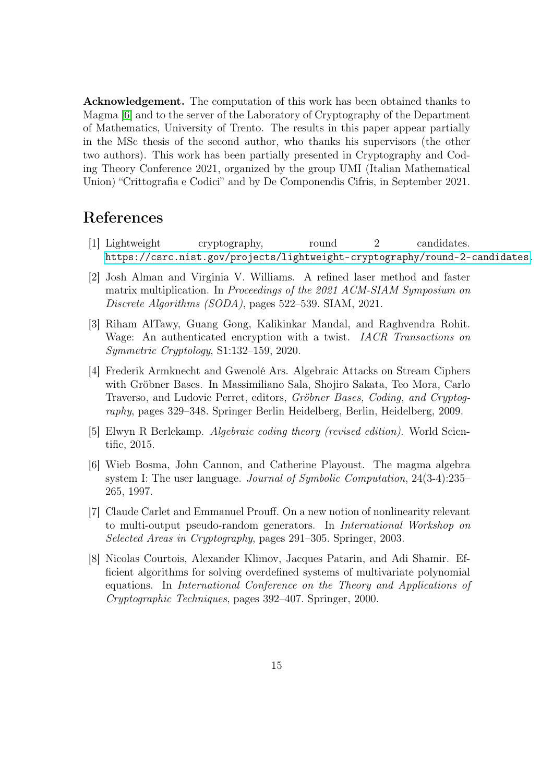Acknowledgement. The computation of this work has been obtained thanks to Magma [\[6\]](#page-14-7) and to the server of the Laboratory of Cryptography of the Department of Mathematics, University of Trento. The results in this paper appear partially in the MSc thesis of the second author, who thanks his supervisors (the other two authors). This work has been partially presented in Cryptography and Coding Theory Conference 2021, organized by the group UMI (Italian Mathematical Union) "Crittografia e Codici" and by De Componendis Cifris, in September 2021.

# <span id="page-14-1"></span>References

- <span id="page-14-5"></span>[1] Lightweight cryptography, round 2 candidates. <https://csrc.nist.gov/projects/lightweight-cryptography/round-2-candidates>.
- [2] Josh Alman and Virginia V. Williams. A refined laser method and faster matrix multiplication. In Proceedings of the 2021 ACM-SIAM Symposium on Discrete Algorithms (SODA), pages 522–539. SIAM, 2021.
- <span id="page-14-6"></span>[3] Riham AlTawy, Guang Gong, Kalikinkar Mandal, and Raghvendra Rohit. Wage: An authenticated encryption with a twist. *IACR Transactions on* Symmetric Cryptology, S1:132–159, 2020.
- <span id="page-14-3"></span>[4] Frederik Armknecht and Gwenolé Ars. Algebraic Attacks on Stream Ciphers with Gröbner Bases. In Massimiliano Sala, Shojiro Sakata, Teo Mora, Carlo Traverso, and Ludovic Perret, editors, Gröbner Bases, Coding, and Cryptography, pages 329–348. Springer Berlin Heidelberg, Berlin, Heidelberg, 2009.
- <span id="page-14-7"></span><span id="page-14-0"></span>[5] Elwyn R Berlekamp. Algebraic coding theory (revised edition). World Scientific, 2015.
- [6] Wieb Bosma, John Cannon, and Catherine Playoust. The magma algebra system I: The user language. *Journal of Symbolic Computation*, 24(3-4):235– 265, 1997.
- <span id="page-14-2"></span>[7] Claude Carlet and Emmanuel Prouff. On a new notion of nonlinearity relevant to multi-output pseudo-random generators. In International Workshop on Selected Areas in Cryptography, pages 291–305. Springer, 2003.
- <span id="page-14-4"></span>[8] Nicolas Courtois, Alexander Klimov, Jacques Patarin, and Adi Shamir. Efficient algorithms for solving overdefined systems of multivariate polynomial equations. In International Conference on the Theory and Applications of Cryptographic Techniques, pages 392–407. Springer, 2000.